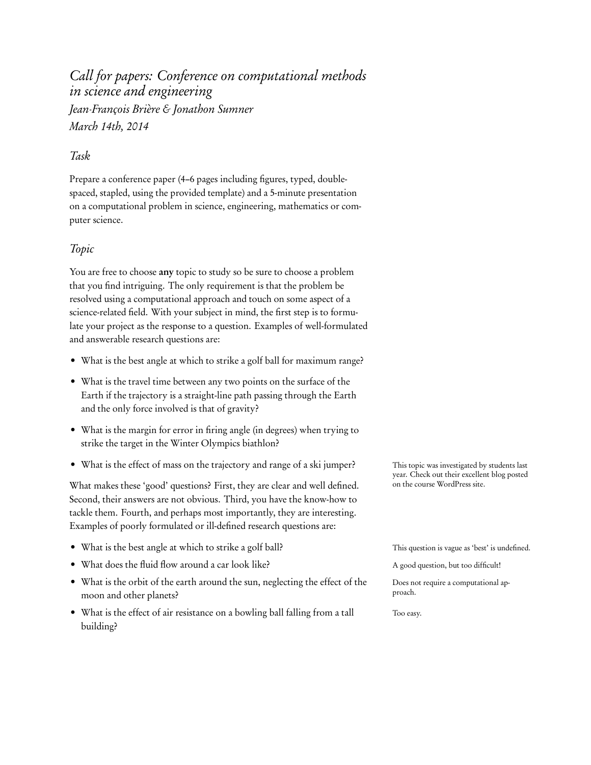# Call for papers: Conference on computational methods in science and engineering Jean-François Brière & Jonathon Sumner March 14th, 2014

## Task

Prepare a conference paper (4–6 pages including figures, typed, doublespaced, stapled, using the provided template) and a 5-minute presentation on a computational problem in science, engineering, mathematics or computer science.

## Topic

You are free to choose any topic to study so be sure to choose a problem that you find intriguing. The only requirement is that the problem be resolved using a computational approach and touch on some aspect of a science-related field. With your subject in mind, the first step is to formulate your project as the response to a question. Examples of well-formulated and answerable research questions are:

- What is the best angle at which to strike a golf ball for maximum range?
- What is the travel time between any two points on the surface of the Earth if the trajectory is a straight-line path passing through the Earth and the only force involved is that of gravity?
- What is the margin for error in firing angle (in degrees) when trying to strike the target in the Winter Olympics biathlon?
- What is the effect of mass on the trajectory and range of a ski jumper? This topic was investigated by students last

What makes these 'good' questions? First, they are clear and well defined. on the course WordPress site. Second, their answers are not obvious. Third, you have the know-how to tackle them. Fourth, and perhaps most importantly, they are interesting. Examples of poorly formulated or ill-defined research questions are:

- What is the best angle at which to strike a golf ball? This question is vague as 'best' is undefined.
- What does the fluid flow around a car look like? A good question, but too difficult!
- What is the orbit of the earth around the sun, neglecting the effect of the Does not require a computational approach. moon and other planets?
- What is the effect of air resistance on a bowling ball falling from a tall Too easy. building?

year. Check out their excellent blog posted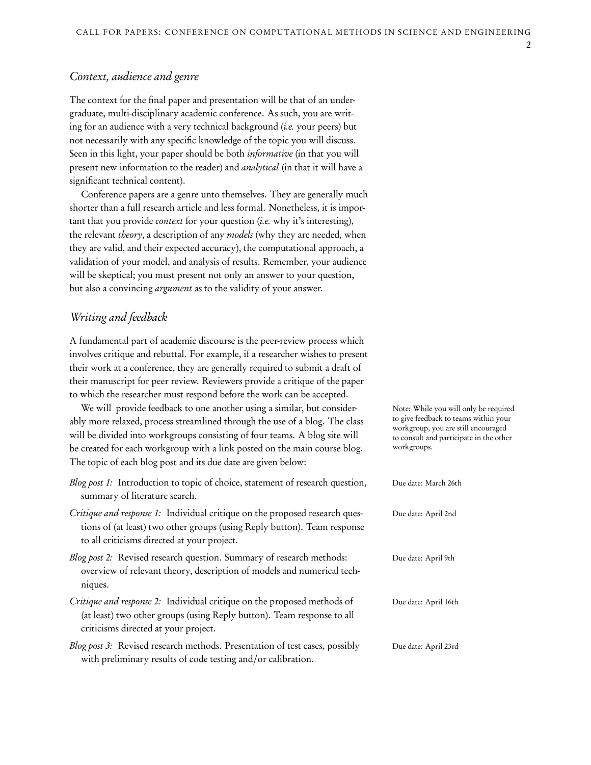#### Context, audience and genre

The context for the final paper and presentation will be that of an undergraduate, multi-disciplinary academic conference. As such, you are writing for an audience with a very technical background (i.e. your peers) but not necessarily with any specific knowledge of the topic you will discuss. Seen in this light, your paper should be both *informative* (in that you will present new information to the reader) and analytical (in that it will have a significant technical content).

Conference papers are a genre unto themselves. They are generally much shorter than a full research article and less formal. Nonetheless, it is important that you provide *context* for your question (*i.e.* why it's interesting), the relevant theory, a description of any models (why they are needed, when they are valid, and their expected accuracy), the computational approach, a validation of your model, and analysis of results. Remember, your audience will be skeptical; you must present not only an answer to your question, but also a convincing argument as to the validity of your answer.

#### Writing and feedback

A fundamental part of academic discourse is the peer-review process which involves critique and rebuttal. For example, if a researcher wishes to present their work at a conference, they are generally required to submit a draft of their manuscript for peer review. Reviewers provide a critique of the paper to which the researcher must respond before the work can be accepted.

We will provide feedback to one another using a similar, but consider- Note: While you will only be required ably more relaxed, process streamlined through the use of a blog. The class will be divided into workgroups consisting of four teams. A blog site will be created for each workgroup with a link posted on the main course blog. The topic of each blog post and its due date are given below:

- Blog post 1: Introduction to topic of choice, statement of research question, Due date: March 26th summary of literature search.
- Critique and response 1: Individual critique on the proposed research ques- Due date: April 2nd tions of (at least) two other groups (using Reply button). Team response to all criticisms directed at your project.
- Blog post 2: Revised research question. Summary of research methods: Due date: April 9th overview of relevant theory, description of models and numerical techniques.
- Critique and response 2: Individual critique on the proposed methods of Due date: April 16th (at least) two other groups (using Reply button). Team response to all criticisms directed at your project.
- Blog post 3: Revised research methods. Presentation of test cases, possibly Due date: April 23rd with preliminary results of code testing and/or calibration.

to give feedback to teams within your workgroup, you are still encouraged to consult and participate in the other workgroups.

2